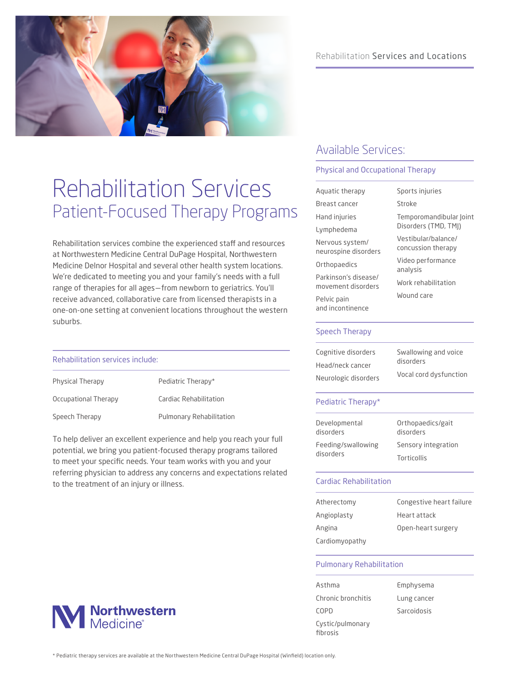

# Rehabilitation Services Patient-Focused Therapy Programs

Rehabilitation services combine the experienced staff and resources at Northwestern Medicine Central DuPage Hospital, Northwestern Medicine Delnor Hospital and several other health system locations. We're dedicated to meeting you and your family's needs with a full range of therapies for all ages—from newborn to geriatrics. You'll receive advanced, collaborative care from licensed therapists in a one-on-one setting at convenient locations throughout the western suburbs.

### Rehabilitation services include:

| Physical Therapy     | Pediatric Therapy*              |
|----------------------|---------------------------------|
| Occupational Therapy | Cardiac Rehabilitation          |
| Speech Therapy       | <b>Pulmonary Rehabilitation</b> |

To help deliver an excellent experience and help you reach your full potential, we bring you patient-focused therapy programs tailored to meet your specific needs. Your team works with you and your referring physician to address any concerns and expectations related to the treatment of an injury or illness.

# Rehabilitation Services and Locations

# Available Services:

### Physical and Occupational Therapy

| Aguatic therapy                            | Sports injuries                           |  |
|--------------------------------------------|-------------------------------------------|--|
| Breast cancer                              | Stroke                                    |  |
| Hand injuries                              | Temporomandibular Joint                   |  |
| Lymphedema                                 | Disorders (TMD, TMJ)                      |  |
| Nervous system/<br>neurospine disorders    | Vestibular/balance/<br>concussion therapy |  |
| Orthopaedics                               | Video performance<br>analysis             |  |
| Parkinson's disease/<br>movement disorders | Work rehabilitation                       |  |
| Pelvic pain<br>and incontinence            | Wound care                                |  |
| Speech Therapy                             |                                           |  |
|                                            |                                           |  |

| Cognitive disorders  | Swallowing and voice   |
|----------------------|------------------------|
| Head/neck cancer     | disorders              |
| Neurologic disorders | Vocal cord dysfunction |

### Pediatric Therapy\*

| Developmental<br>disorders      | Orthopaedics/gait<br>disorders |  |
|---------------------------------|--------------------------------|--|
| Feeding/swallowing<br>disorders | Sensory integration            |  |
|                                 | <b>Torticollis</b>             |  |

### Cardiac Rehabilitation

| Atherectomy    | Congestive heart failure |
|----------------|--------------------------|
| Angioplasty    | Heart attack             |
| Angina         | Open-heart surgery       |
| Cardiomyopathy |                          |

## Pulmonary Rehabilitation

| Asthma                       | Emphysema   |
|------------------------------|-------------|
| Chronic bronchitis           | Lung cancer |
| COPD                         | Sarcoidosis |
| Cystic/pulmonary<br>fibrosis |             |